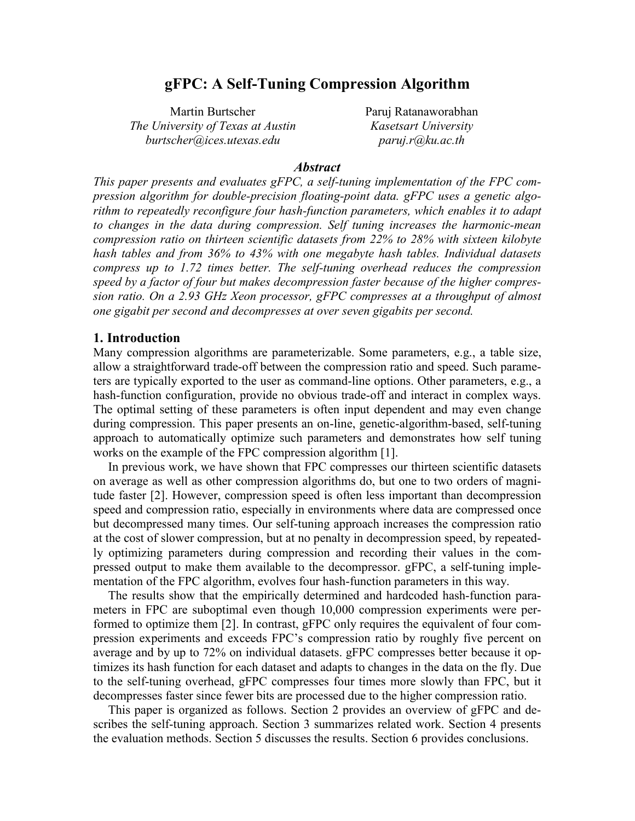# **gFPC: A Self-Tuning Compression Algorithm**

Martin Burtscher Paruj Ratanaworabhan  *The University of Texas at Austin Kasetsart University burtscher@ices.utexas.edu paruj.r@ku.ac.th* 

#### *Abstract*

*This paper presents and evaluates gFPC, a self-tuning implementation of the FPC compression algorithm for double-precision floating-point data. gFPC uses a genetic algorithm to repeatedly reconfigure four hash-function parameters, which enables it to adapt to changes in the data during compression. Self tuning increases the harmonic-mean compression ratio on thirteen scientific datasets from 22% to 28% with sixteen kilobyte hash tables and from 36% to 43% with one megabyte hash tables. Individual datasets compress up to 1.72 times better. The self-tuning overhead reduces the compression speed by a factor of four but makes decompression faster because of the higher compression ratio. On a 2.93 GHz Xeon processor, gFPC compresses at a throughput of almost one gigabit per second and decompresses at over seven gigabits per second.* 

## **1. Introduction**

Many compression algorithms are parameterizable. Some parameters, e.g., a table size, allow a straightforward trade-off between the compression ratio and speed. Such parameters are typically exported to the user as command-line options. Other parameters, e.g., a hash-function configuration, provide no obvious trade-off and interact in complex ways. The optimal setting of these parameters is often input dependent and may even change during compression. This paper presents an on-line, genetic-algorithm-based, self-tuning approach to automatically optimize such parameters and demonstrates how self tuning works on the example of the FPC compression algorithm [1].

In previous work, we have shown that FPC compresses our thirteen scientific datasets on average as well as other compression algorithms do, but one to two orders of magnitude faster [2]. However, compression speed is often less important than decompression speed and compression ratio, especially in environments where data are compressed once but decompressed many times. Our self-tuning approach increases the compression ratio at the cost of slower compression, but at no penalty in decompression speed, by repeatedly optimizing parameters during compression and recording their values in the compressed output to make them available to the decompressor. gFPC, a self-tuning implementation of the FPC algorithm, evolves four hash-function parameters in this way.

The results show that the empirically determined and hardcoded hash-function parameters in FPC are suboptimal even though 10,000 compression experiments were performed to optimize them [2]. In contrast, gFPC only requires the equivalent of four compression experiments and exceeds FPC's compression ratio by roughly five percent on average and by up to 72% on individual datasets. gFPC compresses better because it optimizes its hash function for each dataset and adapts to changes in the data on the fly. Due to the self-tuning overhead, gFPC compresses four times more slowly than FPC, but it decompresses faster since fewer bits are processed due to the higher compression ratio.

This paper is organized as follows. Section 2 provides an overview of gFPC and describes the self-tuning approach. Section 3 summarizes related work. Section 4 presents the evaluation methods. Section 5 discusses the results. Section 6 provides conclusions.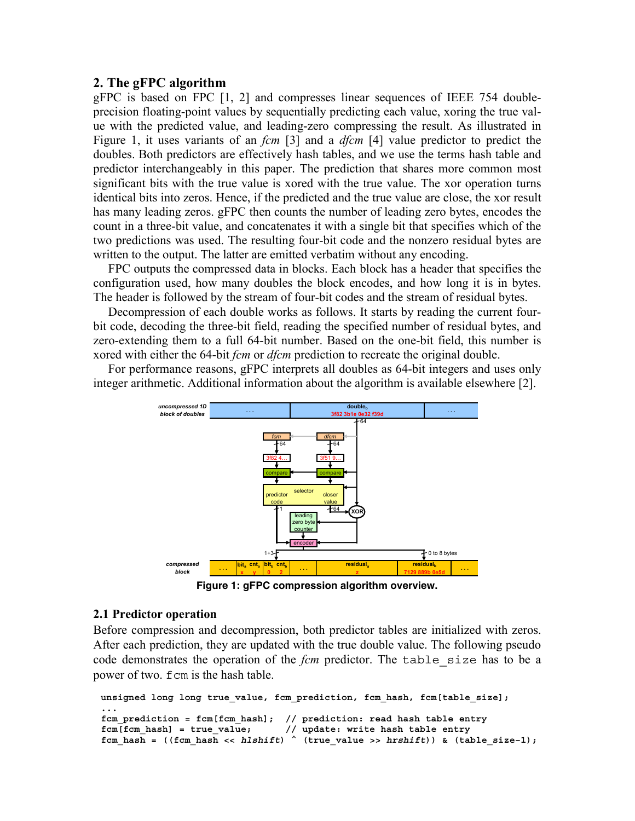#### **2. The gFPC algorithm**

gFPC is based on FPC [1, 2] and compresses linear sequences of IEEE 754 doubleprecision floating-point values by sequentially predicting each value, xoring the true value with the predicted value, and leading-zero compressing the result. As illustrated in Figure 1, it uses variants of an *fcm* [3] and a *dfcm* [4] value predictor to predict the doubles. Both predictors are effectively hash tables, and we use the terms hash table and predictor interchangeably in this paper. The prediction that shares more common most significant bits with the true value is xored with the true value. The xor operation turns identical bits into zeros. Hence, if the predicted and the true value are close, the xor result has many leading zeros. gFPC then counts the number of leading zero bytes, encodes the count in a three-bit value, and concatenates it with a single bit that specifies which of the two predictions was used. The resulting four-bit code and the nonzero residual bytes are written to the output. The latter are emitted verbatim without any encoding.

FPC outputs the compressed data in blocks. Each block has a header that specifies the configuration used, how many doubles the block encodes, and how long it is in bytes. The header is followed by the stream of four-bit codes and the stream of residual bytes.

Decompression of each double works as follows. It starts by reading the current fourbit code, decoding the three-bit field, reading the specified number of residual bytes, and zero-extending them to a full 64-bit number. Based on the one-bit field, this number is xored with either the 64-bit *fcm* or *dfcm* prediction to recreate the original double.

For performance reasons, gFPC interprets all doubles as 64-bit integers and uses only integer arithmetic. Additional information about the algorithm is available elsewhere [2].



**Figure 1: gFPC compression algorithm overview.** 

#### **2.1 Predictor operation**

Before compression and decompression, both predictor tables are initialized with zeros. After each prediction, they are updated with the true double value. The following pseudo code demonstrates the operation of the *fcm* predictor. The table\_size has to be a power of two. fcm is the hash table.

```
unsigned long long true value, fcm prediction, fcm hash, fcm[table size];
... 
fcm_prediction = fcm[fcm_hash]; // prediction: read hash table entry 
fcm[fcm_hash] = true_value; // update: write hash table entry 
fcm_hash = ((fcm_hash << hlshift) ^ (true_value >> hrshift)) & (table_size–1);
```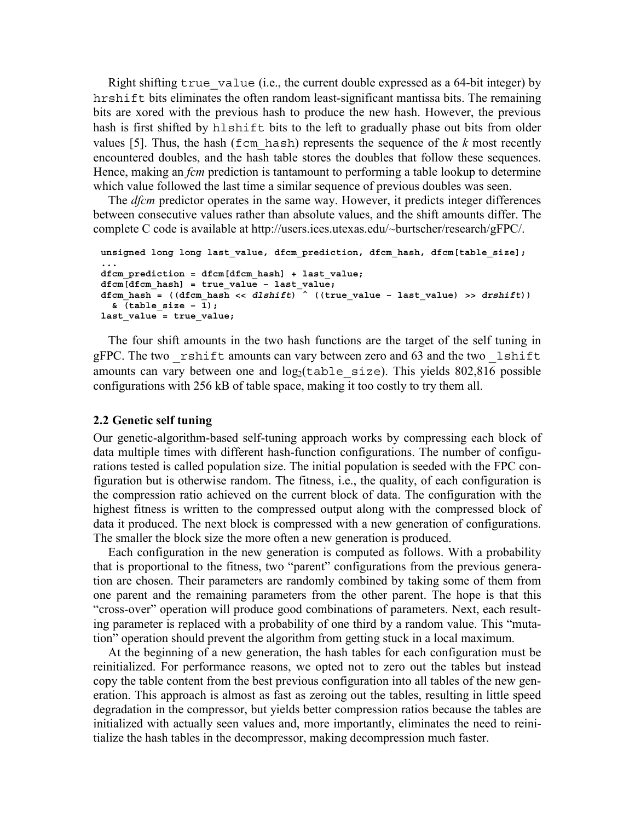Right shifting  $true$  value (i.e., the current double expressed as a 64-bit integer) by hrshift bits eliminates the often random least-significant mantissa bits. The remaining bits are xored with the previous hash to produce the new hash. However, the previous hash is first shifted by hlshift bits to the left to gradually phase out bits from older values [5]. Thus, the hash ( $fcm$  hash) represents the sequence of the  $k$  most recently encountered doubles, and the hash table stores the doubles that follow these sequences. Hence, making an *fcm* prediction is tantamount to performing a table lookup to determine which value followed the last time a similar sequence of previous doubles was seen.

The *dfcm* predictor operates in the same way. However, it predicts integer differences between consecutive values rather than absolute values, and the shift amounts differ. The complete C code is available at http://users.ices.utexas.edu/~burtscher/research/gFPC/.

```
unsigned long long last_value, dfcm_prediction, dfcm_hash, dfcm[table_size]; 
... 
dfcm_prediction = dfcm[dfcm_hash] + last_value; 
dfcm[dfcm hash] = true value – last value;
dfcm hash = ((dfcm hash << dlshift) \left( ((true value - last value) >> drshift))
   & (table_size – 1); 
last_value = true_value;
```
The four shift amounts in the two hash functions are the target of the self tuning in gFPC. The two \_rshift amounts can vary between zero and 63 and the two \_lshift amounts can vary between one and  $log_2(table size)$ . This yields 802,816 possible configurations with 256 kB of table space, making it too costly to try them all.

#### **2.2 Genetic self tuning**

Our genetic-algorithm-based self-tuning approach works by compressing each block of data multiple times with different hash-function configurations. The number of configurations tested is called population size. The initial population is seeded with the FPC configuration but is otherwise random. The fitness, i.e., the quality, of each configuration is the compression ratio achieved on the current block of data. The configuration with the highest fitness is written to the compressed output along with the compressed block of data it produced. The next block is compressed with a new generation of configurations. The smaller the block size the more often a new generation is produced.

Each configuration in the new generation is computed as follows. With a probability that is proportional to the fitness, two "parent" configurations from the previous generation are chosen. Their parameters are randomly combined by taking some of them from one parent and the remaining parameters from the other parent. The hope is that this "cross-over" operation will produce good combinations of parameters. Next, each resulting parameter is replaced with a probability of one third by a random value. This "mutation" operation should prevent the algorithm from getting stuck in a local maximum.

At the beginning of a new generation, the hash tables for each configuration must be reinitialized. For performance reasons, we opted not to zero out the tables but instead copy the table content from the best previous configuration into all tables of the new generation. This approach is almost as fast as zeroing out the tables, resulting in little speed degradation in the compressor, but yields better compression ratios because the tables are initialized with actually seen values and, more importantly, eliminates the need to reinitialize the hash tables in the decompressor, making decompression much faster.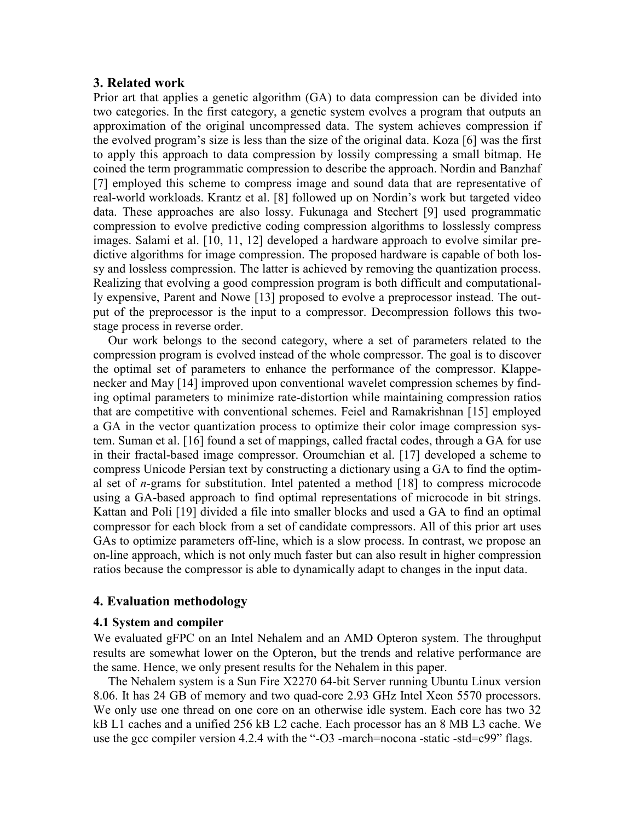## **3. Related work**

Prior art that applies a genetic algorithm (GA) to data compression can be divided into two categories. In the first category, a genetic system evolves a program that outputs an approximation of the original uncompressed data. The system achieves compression if the evolved program's size is less than the size of the original data. Koza [6] was the first to apply this approach to data compression by lossily compressing a small bitmap. He coined the term programmatic compression to describe the approach. Nordin and Banzhaf [7] employed this scheme to compress image and sound data that are representative of real-world workloads. Krantz et al. [8] followed up on Nordin's work but targeted video data. These approaches are also lossy. Fukunaga and Stechert [9] used programmatic compression to evolve predictive coding compression algorithms to losslessly compress images. Salami et al. [10, 11, 12] developed a hardware approach to evolve similar predictive algorithms for image compression. The proposed hardware is capable of both lossy and lossless compression. The latter is achieved by removing the quantization process. Realizing that evolving a good compression program is both difficult and computationally expensive, Parent and Nowe [13] proposed to evolve a preprocessor instead. The output of the preprocessor is the input to a compressor. Decompression follows this twostage process in reverse order.

Our work belongs to the second category, where a set of parameters related to the compression program is evolved instead of the whole compressor. The goal is to discover the optimal set of parameters to enhance the performance of the compressor. Klappenecker and May [14] improved upon conventional wavelet compression schemes by finding optimal parameters to minimize rate-distortion while maintaining compression ratios that are competitive with conventional schemes. Feiel and Ramakrishnan [15] employed a GA in the vector quantization process to optimize their color image compression system. Suman et al. [16] found a set of mappings, called fractal codes, through a GA for use in their fractal-based image compressor. Oroumchian et al. [17] developed a scheme to compress Unicode Persian text by constructing a dictionary using a GA to find the optimal set of *n*-grams for substitution. Intel patented a method [18] to compress microcode using a GA-based approach to find optimal representations of microcode in bit strings. Kattan and Poli [19] divided a file into smaller blocks and used a GA to find an optimal compressor for each block from a set of candidate compressors. All of this prior art uses GAs to optimize parameters off-line, which is a slow process. In contrast, we propose an on-line approach, which is not only much faster but can also result in higher compression ratios because the compressor is able to dynamically adapt to changes in the input data.

## **4. Evaluation methodology**

#### **4.1 System and compiler**

We evaluated gFPC on an Intel Nehalem and an AMD Opteron system. The throughput results are somewhat lower on the Opteron, but the trends and relative performance are the same. Hence, we only present results for the Nehalem in this paper.

The Nehalem system is a Sun Fire X2270 64-bit Server running Ubuntu Linux version 8.06. It has 24 GB of memory and two quad-core 2.93 GHz Intel Xeon 5570 processors. We only use one thread on one core on an otherwise idle system. Each core has two 32 kB L1 caches and a unified 256 kB L2 cache. Each processor has an 8 MB L3 cache. We use the gcc compiler version 4.2.4 with the "-O3 -march=nocona -static -std=c99" flags.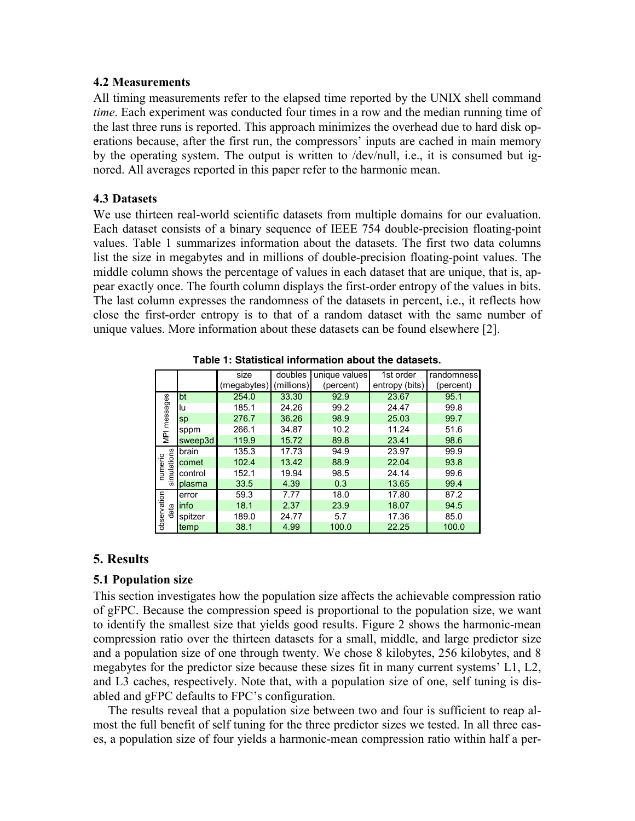### **4.2 Measurements**

All timing measurements refer to the elapsed time reported by the UNIX shell command *time*. Each experiment was conducted four times in a row and the median running time of the last three runs is reported. This approach minimizes the overhead due to hard disk operations because, after the first run, the compressors' inputs are cached in main memory by the operating system. The output is written to /dev/null, i.e., it is consumed but ignored. All averages reported in this paper refer to the harmonic mean.

## **4.3 Datasets**

We use thirteen real-world scientific datasets from multiple domains for our evaluation. Each dataset consists of a binary sequence of IEEE 754 double-precision floating-point values. Table 1 summarizes information about the datasets. The first two data columns list the size in megabytes and in millions of double-precision floating-point values. The middle column shows the percentage of values in each dataset that are unique, that is, appear exactly once. The fourth column displays the first-order entropy of the values in bits. The last column expresses the randomness of the datasets in percent, i.e., it reflects how close the first-order entropy is to that of a random dataset with the same number of unique values. More information about these datasets can be found elsewhere [2].

|                               |         | size                   | doubles | unique values | 1st order      | randomness |
|-------------------------------|---------|------------------------|---------|---------------|----------------|------------|
|                               |         | (megabytes) (millions) |         | (percent)     | entropy (bits) | (percent)  |
| MPI messages                  | bt      | 254.0                  | 33.30   | 92.9          | 23.67          | 95.1       |
|                               | lu      | 185.1                  | 24.26   | 99.2          | 24.47          | 99.8       |
|                               | sp      | 276.7                  | 36.26   | 98.9          | 25.03          | 99.7       |
|                               | sppm    | 266.1                  | 34.87   | 10.2          | 11.24          | 51.6       |
|                               | sweep3d | 119.9                  | 15.72   | 89.8          | 23.41          | 98.6       |
| simulations<br><b>numeric</b> | brain   | 135.3                  | 17.73   | 94.9          | 23.97          | 99.9       |
|                               | comet   | 102.4                  | 13.42   | 88.9          | 22.04          | 93.8       |
|                               | control | 152.1                  | 19.94   | 98.5          | 24.14          | 99.6       |
|                               | plasma  | 33.5                   | 4.39    | 0.3           | 13.65          | 99.4       |
| observation<br>data           | error   | 59.3                   | 7.77    | 18.0          | 17.80          | 87.2       |
|                               | linfo   | 18.1                   | 2.37    | 23.9          | 18.07          | 94.5       |
|                               | spitzer | 189.0                  | 24.77   | 5.7           | 17.36          | 85.0       |
|                               | temp    | 38.1                   | 4.99    | 100.0         | 22.25          | 100.0      |

**Table 1: Statistical information about the datasets.** 

# **5. Results**

# **5.1 Population size**

This section investigates how the population size affects the achievable compression ratio of gFPC. Because the compression speed is proportional to the population size, we want to identify the smallest size that yields good results. Figure 2 shows the harmonic-mean compression ratio over the thirteen datasets for a small, middle, and large predictor size and a population size of one through twenty. We chose 8 kilobytes, 256 kilobytes, and 8 megabytes for the predictor size because these sizes fit in many current systems' L1, L2, and L3 caches, respectively. Note that, with a population size of one, self tuning is disabled and gFPC defaults to FPC's configuration.

The results reveal that a population size between two and four is sufficient to reap almost the full benefit of self tuning for the three predictor sizes we tested. In all three cases, a population size of four yields a harmonic-mean compression ratio within half a per-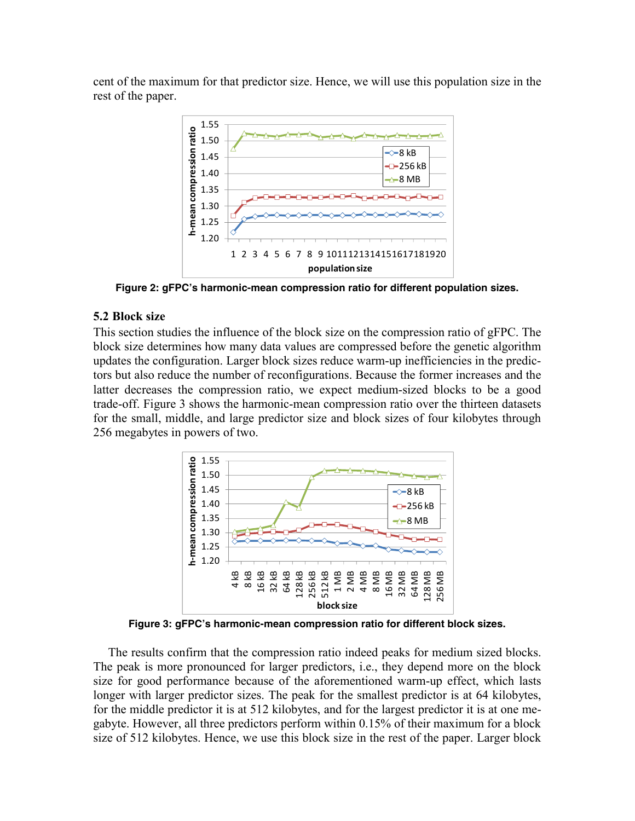cent of the maximum for that predictor size. Hence, we will use this population size in the rest of the paper.



**Figure 2: gFPC's harmonic-mean compression ratio for different population sizes.** 

## **5.2 Block size**

This section studies the influence of the block size on the compression ratio of gFPC. The block size determines how many data values are compressed before the genetic algorithm updates the configuration. Larger block sizes reduce warm-up inefficiencies in the predictors but also reduce the number of reconfigurations. Because the former increases and the latter decreases the compression ratio, we expect medium-sized blocks to be a good trade-off. Figure 3 shows the harmonic-mean compression ratio over the thirteen datasets for the small, middle, and large predictor size and block sizes of four kilobytes through 256 megabytes in powers of two.



**Figure 3: gFPC's harmonic-mean compression ratio for different block sizes.** 

The results confirm that the compression ratio indeed peaks for medium sized blocks. The peak is more pronounced for larger predictors, i.e., they depend more on the block size for good performance because of the aforementioned warm-up effect, which lasts longer with larger predictor sizes. The peak for the smallest predictor is at 64 kilobytes, for the middle predictor it is at 512 kilobytes, and for the largest predictor it is at one megabyte. However, all three predictors perform within 0.15% of their maximum for a block size of 512 kilobytes. Hence, we use this block size in the rest of the paper. Larger block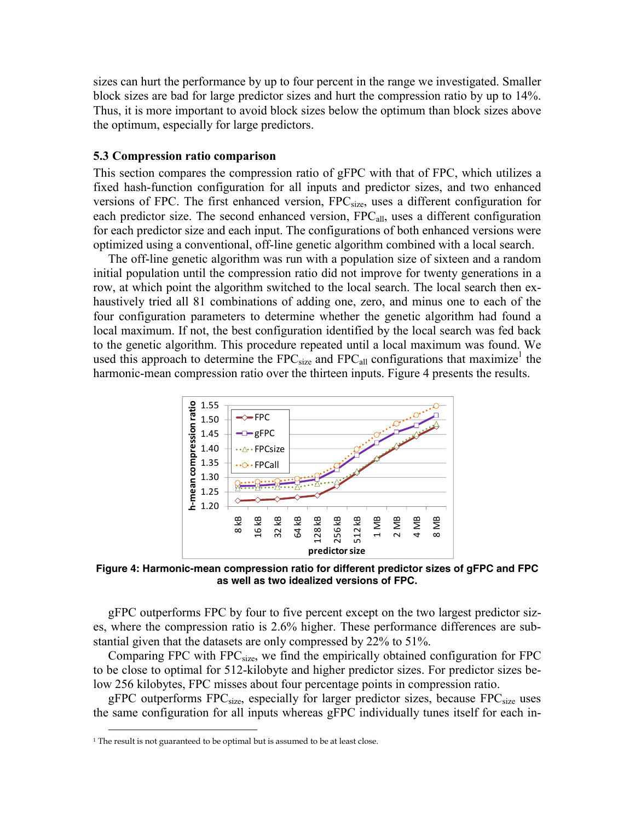sizes can hurt the performance by up to four percent in the range we investigated. Smaller block sizes are bad for large predictor sizes and hurt the compression ratio by up to 14%. Thus, it is more important to avoid block sizes below the optimum than block sizes above the optimum, especially for large predictors.

#### **5.3 Compression ratio comparison**

This section compares the compression ratio of gFPC with that of FPC, which utilizes a fixed hash-function configuration for all inputs and predictor sizes, and two enhanced versions of FPC. The first enhanced version, FPC<sub>size</sub>, uses a different configuration for each predictor size. The second enhanced version, FPC<sub>all</sub>, uses a different configuration for each predictor size and each input. The configurations of both enhanced versions were optimized using a conventional, off-line genetic algorithm combined with a local search.

The off-line genetic algorithm was run with a population size of sixteen and a random initial population until the compression ratio did not improve for twenty generations in a row, at which point the algorithm switched to the local search. The local search then exhaustively tried all 81 combinations of adding one, zero, and minus one to each of the four configuration parameters to determine whether the genetic algorithm had found a local maximum. If not, the best configuration identified by the local search was fed back to the genetic algorithm. This procedure repeated until a local maximum was found. We used this approach to determine the  $FPC_{size}$  and  $FPC_{all}$  configurations that maximize<sup>1</sup> the harmonic-mean compression ratio over the thirteen inputs. Figure 4 presents the results.



**Figure 4: Harmonic-mean compression ratio for different predictor sizes of gFPC and FPC as well as two idealized versions of FPC.** 

gFPC outperforms FPC by four to five percent except on the two largest predictor sizes, where the compression ratio is 2.6% higher. These performance differences are substantial given that the datasets are only compressed by 22% to 51%.

Comparing FPC with FPC<sub>size</sub>, we find the empirically obtained configuration for FPC to be close to optimal for 512-kilobyte and higher predictor sizes. For predictor sizes below 256 kilobytes, FPC misses about four percentage points in compression ratio.

gFPC outperforms  $FPC_{size}$ , especially for larger predictor sizes, because  $FPC_{size}$  uses the same configuration for all inputs whereas gFPC individually tunes itself for each in-

 $\overline{a}$ 

<sup>&</sup>lt;sup>1</sup> The result is not guaranteed to be optimal but is assumed to be at least close.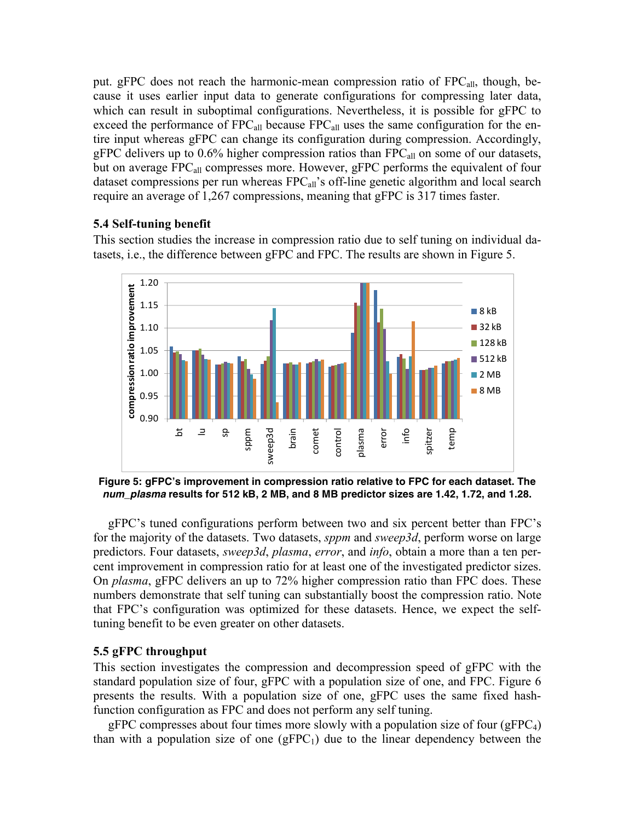put. gFPC does not reach the harmonic-mean compression ratio of  $FPC<sub>all</sub>$ , though, because it uses earlier input data to generate configurations for compressing later data, which can result in suboptimal configurations. Nevertheless, it is possible for gFPC to exceed the performance of  $FPC_{all}$  because  $FPC_{all}$  uses the same configuration for the entire input whereas gFPC can change its configuration during compression. Accordingly, gFPC delivers up to  $0.6\%$  higher compression ratios than FPC $_{all}$  on some of our datasets, but on average FPC<sub>all</sub> compresses more. However, gFPC performs the equivalent of four dataset compressions per run whereas  $FPC<sub>all</sub>$ 's off-line genetic algorithm and local search require an average of 1,267 compressions, meaning that gFPC is 317 times faster.

# **5.4 Self-tuning benefit**

This section studies the increase in compression ratio due to self tuning on individual datasets, i.e., the difference between gFPC and FPC. The results are shown in Figure 5.



**Figure 5: gFPC's improvement in compression ratio relative to FPC for each dataset. The**  *num\_plasma* **results for 512 kB, 2 MB, and 8 MB predictor sizes are 1.42, 1.72, and 1.28.** 

gFPC's tuned configurations perform between two and six percent better than FPC's for the majority of the datasets. Two datasets, *sppm* and *sweep3d*, perform worse on large predictors. Four datasets, *sweep3d*, *plasma*, *error*, and *info*, obtain a more than a ten percent improvement in compression ratio for at least one of the investigated predictor sizes. On *plasma*, gFPC delivers an up to 72% higher compression ratio than FPC does. These numbers demonstrate that self tuning can substantially boost the compression ratio. Note that FPC's configuration was optimized for these datasets. Hence, we expect the selftuning benefit to be even greater on other datasets.

# **5.5 gFPC throughput**

This section investigates the compression and decompression speed of gFPC with the standard population size of four, gFPC with a population size of one, and FPC. Figure 6 presents the results. With a population size of one, gFPC uses the same fixed hashfunction configuration as FPC and does not perform any self tuning.

gFPC compresses about four times more slowly with a population size of four (gFPC $_4$ ) than with a population size of one  $(gFPC_1)$  due to the linear dependency between the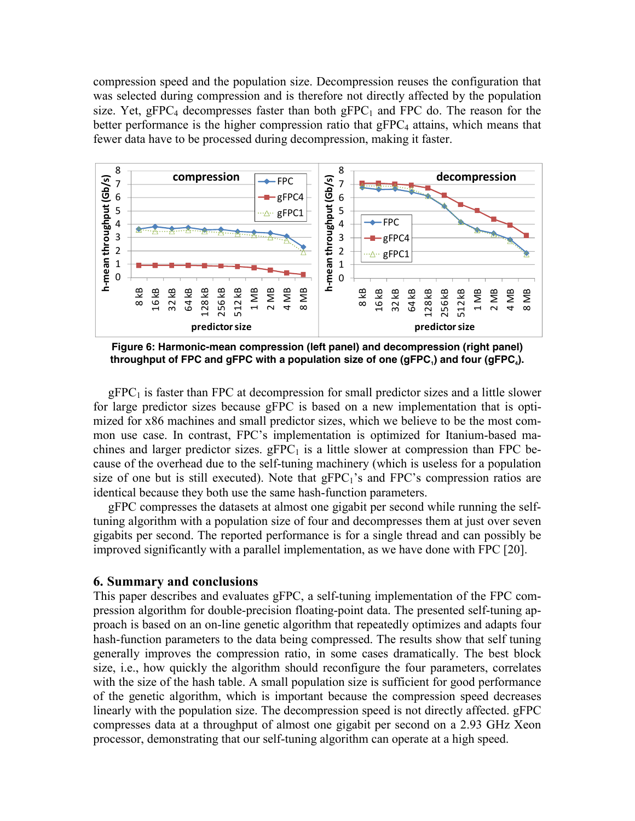compression speed and the population size. Decompression reuses the configuration that was selected during compression and is therefore not directly affected by the population size. Yet, gFPC<sub>4</sub> decompresses faster than both gFPC<sub>1</sub> and FPC do. The reason for the better performance is the higher compression ratio that  $gFPC<sub>4</sub>$  attains, which means that fewer data have to be processed during decompression, making it faster.



**Figure 6: Harmonic-mean compression (left panel) and decompression (right panel)**  throughput of FPC and gFPC with a population size of one (gFPC<sub>1</sub>) and four (gFPC<sub>4</sub>).

 $gFPC<sub>1</sub>$  is faster than FPC at decompression for small predictor sizes and a little slower for large predictor sizes because gFPC is based on a new implementation that is optimized for x86 machines and small predictor sizes, which we believe to be the most common use case. In contrast, FPC's implementation is optimized for Itanium-based machines and larger predictor sizes.  $gFPC<sub>1</sub>$  is a little slower at compression than FPC because of the overhead due to the self-tuning machinery (which is useless for a population size of one but is still executed). Note that  $qFPC<sub>1</sub>'s$  and FPC's compression ratios are identical because they both use the same hash-function parameters.

gFPC compresses the datasets at almost one gigabit per second while running the selftuning algorithm with a population size of four and decompresses them at just over seven gigabits per second. The reported performance is for a single thread and can possibly be improved significantly with a parallel implementation, as we have done with FPC [20].

## **6. Summary and conclusions**

This paper describes and evaluates gFPC, a self-tuning implementation of the FPC compression algorithm for double-precision floating-point data. The presented self-tuning approach is based on an on-line genetic algorithm that repeatedly optimizes and adapts four hash-function parameters to the data being compressed. The results show that self tuning generally improves the compression ratio, in some cases dramatically. The best block size, i.e., how quickly the algorithm should reconfigure the four parameters, correlates with the size of the hash table. A small population size is sufficient for good performance of the genetic algorithm, which is important because the compression speed decreases linearly with the population size. The decompression speed is not directly affected. gFPC compresses data at a throughput of almost one gigabit per second on a 2.93 GHz Xeon processor, demonstrating that our self-tuning algorithm can operate at a high speed.